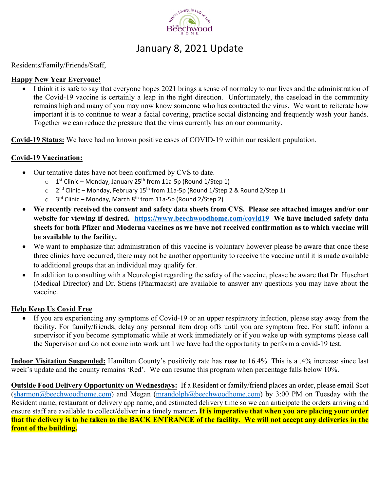

### January 8, 2021 Update

#### Residents/Family/Friends/Staff,

#### **Happy New Year Everyone!**

 I think it is safe to say that everyone hopes 2021 brings a sense of normalcy to our lives and the administration of the Covid-19 vaccine is certainly a leap in the right direction. Unfortunately, the caseload in the community remains high and many of you may now know someone who has contracted the virus. We want to reiterate how important it is to continue to wear a facial covering, practice social distancing and frequently wash your hands. Together we can reduce the pressure that the virus currently has on our community.

**Covid-19 Status:** We have had no known positive cases of COVID-19 within our resident population.

#### **Covid-19 Vaccination:**

- Our tentative dates have not been confirmed by CVS to date.
	- $\circ$  1<sup>st</sup> Clinic Monday, January 25<sup>th</sup> from 11a-5p (Round 1/Step 1)
	- o 2nd Clinic Monday, February 15th from 11a‐5p (Round 1/Step 2 & Round 2/Step 1)
	- o 3rd Clinic Monday, March 8th from 11a‐5p (Round 2/Step 2)
- **We recently received the consent and safety data sheets from CVS. Please see attached images and/or our website for viewing if desired. https://www.beechwoodhome.com/covid19 We have included safety data sheets for both Pfizer and Moderna vaccines as we have not received confirmation as to which vaccine will be available to the facility.**
- We want to emphasize that administration of this vaccine is voluntary however please be aware that once these three clinics have occurred, there may not be another opportunity to receive the vaccine until it is made available to additional groups that an individual may qualify for.
- In addition to consulting with a Neurologist regarding the safety of the vaccine, please be aware that Dr. Huschart (Medical Director) and Dr. Stiens (Pharmacist) are available to answer any questions you may have about the vaccine.

#### **Help Keep Us Covid Free**

 If you are experiencing any symptoms of Covid-19 or an upper respiratory infection, please stay away from the facility. For family/friends, delay any personal item drop offs until you are symptom free. For staff, inform a supervisor if you become symptomatic while at work immediately or if you wake up with symptoms please call the Supervisor and do not come into work until we have had the opportunity to perform a covid-19 test.

**Indoor Visitation Suspended:** Hamilton County's positivity rate has **rose** to 16.4%. This is a .4% increase since last week's update and the county remains 'Red'. We can resume this program when percentage falls below 10%.

**Outside Food Delivery Opportunity on Wednesdays:** If a Resident or family/friend places an order, please email Scot (sharmon@beechwoodhome.com) and Megan (mrandolph@beechwoodhome.com) by 3:00 PM on Tuesday with the Resident name, restaurant or delivery app name, and estimated delivery time so we can anticipate the orders arriving and ensure staff are available to collect/deliver in a timely manner**. It is imperative that when you are placing your order that the delivery is to be taken to the BACK ENTRANCE of the facility. We will not accept any deliveries in the front of the building.**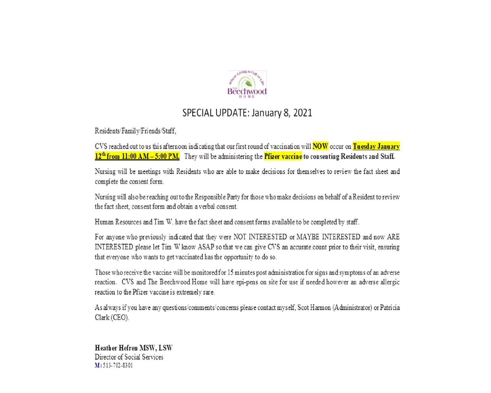

# SPECIAL UPDATE: January 8, 2021

Residents/Family/Friends/Staff,

CVS reached out to us this afternoon indicating that our first round of vaccination will **NOW** occur on Tuesday January 12<sup>th</sup> from 11:00 AM - 5:00 PM. They will be administering the Pfizer vaccine to consenting Residents and Staff.

Nursing will be meetings with Residents who are able to make decisions for themselves to review the fact sheet and complete the consent form.

Nursing will also be reaching out to the Responsible Party for those who make decisions on behalf of a Resident to review the fact sheet, consent form and obtain a verbal consent.

Human Resources and Tim W. have the fact sheet and consent forms available to be completed by staff.

For anyone who previously indicated that they were NOT INTERESTED or MAYBE INTERESTED and now ARE INTERESTED please let Tim W know ASAP so that we can give CVS an accurate count prior to their visit, ensuring that everyone who wants to get vaccinated has the opportunity to do so.

Those who receive the vaccine will be monitored for 15 minutes post administration for signs and symptoms of an adverse reaction. CVS and The Beechwood Home will have epi-pens on site for use if needed however an adverse allergic reaction to the Pfizer vaccine is extremely rare.

As always if you have any questions/comments/concerns please contact myself, Scot Harmon (Administrator) or Patricia Clark (CEO).

**Heather Hefren MSW, LSW** Director of Social Services M: 513-702-8301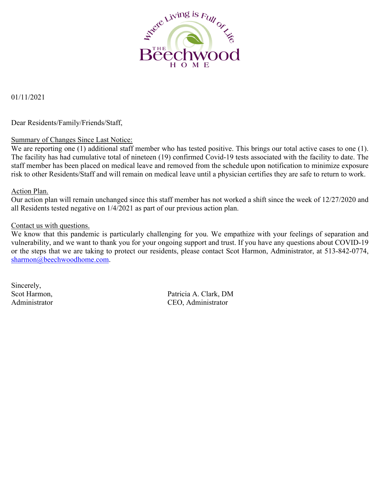

#### 01/11/2021

Dear Residents/Family/Friends/Staff,

#### Summary of Changes Since Last Notice:

We are reporting one (1) additional staff member who has tested positive. This brings our total active cases to one (1). The facility has had cumulative total of nineteen (19) confirmed Covid-19 tests associated with the facility to date. The staff member has been placed on medical leave and removed from the schedule upon notification to minimize exposure risk to other Residents/Staff and will remain on medical leave until a physician certifies they are safe to return to work.

#### Action Plan.

Our action plan will remain unchanged since this staff member has not worked a shift since the week of 12/27/2020 and all Residents tested negative on 1/4/2021 as part of our previous action plan.

#### Contact us with questions.

We know that this pandemic is particularly challenging for you. We empathize with your feelings of separation and vulnerability, and we want to thank you for your ongoing support and trust. If you have any questions about COVID-19 or the steps that we are taking to protect our residents, please contact Scot Harmon, Administrator, at 513-842-0774, sharmon@beechwoodhome.com.

Sincerely,

Scot Harmon, Patricia A. Clark, DM Administrator CEO, Administrator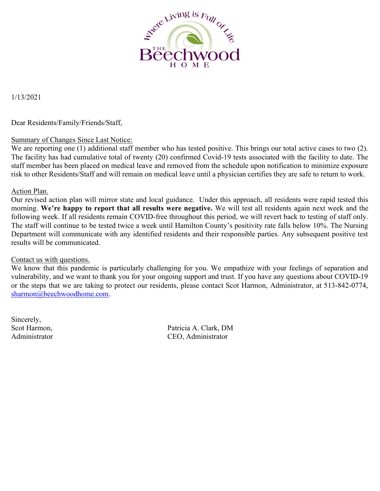

1/13/2021

#### Dear Residents/Family/Friends/Staff,

#### Summary of Changes Since Last Notice:

We are reporting one (1) additional staff member who has tested positive. This brings our total active cases to two (2). The facility has had cumulative total of twenty (20) confirmed Covid-19 tests associated with the facility to date. The staff member has been placed on medical leave and removed from the schedule upon notification to minimize exposure risk to other Residents/Staff and will remain on medical leave until a physician certifies they are safe to return to work.

#### Action Plan.

Our revised action plan will mirror state and local guidance. Under this approach, all residents were rapid tested this morning. We're happy to report that all results were negative. We will test all residents again next week and the following week. If all residents remain COVID-free throughout this period, we will revert back to testing of staff only. The staff will continue to be tested twice a week until Hamilton County's positivity rate falls below 10%. The Nursing Department will communicate with any identified residents and their responsible parties. Any subsequent positive test results will be communicated.

#### Contact us with questions.

We know that this pandemic is particularly challenging for you. We empathize with your feelings of separation and vulnerability, and we want to thank you for your ongoing support and trust. If you have any questions about COVID-19 or the steps that we are taking to protect our residents, please contact Scot Harmon, Administrator, at 513-842-0774, sharmon@beechwoodhome.com.

Sincerely,

Scot Harmon, Patricia A. Clark, DM Administrator CEO, Administrator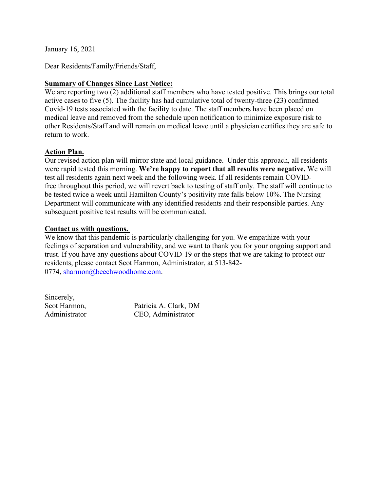January 16, 2021

Dear Residents/Family/Friends/Staff,

#### **Summary of Changes Since Last Notice:**

We are reporting two (2) additional staff members who have tested positive. This brings our total active cases to five (5). The facility has had cumulative total of twenty-three (23) confirmed Covid-19 tests associated with the facility to date. The staff members have been placed on medical leave and removed from the schedule upon notification to minimize exposure risk to other Residents/Staff and will remain on medical leave until a physician certifies they are safe to return to work.

#### **Action Plan.**

Our revised action plan will mirror state and local guidance. Under this approach, all residents were rapid tested this morning. **We're happy to report that all results were negative.** We will test all residents again next week and the following week. If all residents remain COVIDfree throughout this period, we will revert back to testing of staff only. The staff will continue to be tested twice a week until Hamilton County's positivity rate falls below 10%. The Nursing Department will communicate with any identified residents and their responsible parties. Any subsequent positive test results will be communicated.

#### **Contact us with questions.**

We know that this pandemic is particularly challenging for you. We empathize with your feelings of separation and vulnerability, and we want to thank you for your ongoing support and trust. If you have any questions about COVID-19 or the steps that we are taking to protect our residents, please contact Scot Harmon, Administrator, at 513-842- 0774, sharmon@beechwoodhome.com.

Sincerely,

Scot Harmon, Patricia A. Clark, DM<br>Administrator CEO Administrator CEO, Administrator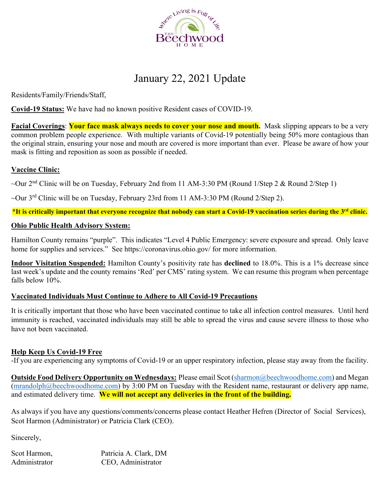

# January 22, 2021 Update

Residents/Family/Friends/Staff,

**Covid-19 Status:** We have had no known positive Resident cases of COVID-19.

**Facial Coverings**: **Your face mask always needs to cover your nose and mouth.** Mask slipping appears to be a very common problem people experience. With multiple variants of Covid-19 potentially being 50% more contagious than the original strain, ensuring your nose and mouth are covered is more important than ever. Please be aware of how your mask is fitting and reposition as soon as possible if needed.

#### **Vaccine Clinic:**

~Our 2<sup>nd</sup> Clinic will be on Tuesday, February 2nd from 11 AM-3:30 PM (Round 1/Step 2 & Round 2/Step 1)

~Our 3rd Clinic will be on Tuesday, February 23rd from 11 AM-3:30 PM (Round 2/Step 2).

\***It is critically important that everyone recognize that nobody can start a Covid-19 vaccination series during the 3rd clinic.**

#### **Ohio Public Health Advisory System:**

Hamilton County remains "purple". This indicates "Level 4 Public Emergency: severe exposure and spread. Only leave home for supplies and services." See https://coronavirus.ohio.gov/ for more information.

**Indoor Visitation Suspended:** Hamilton County's positivity rate has **declined** to 18.0%. This is a 1% decrease since last week's update and the county remains 'Red' per CMS' rating system. We can resume this program when percentage falls below 10%.

#### **Vaccinated Individuals Must Continue to Adhere to All Covid-19 Precautions**

It is critically important that those who have been vaccinated continue to take all infection control measures. Until herd immunity is reached, vaccinated individuals may still be able to spread the virus and cause severe illness to those who have not been vaccinated.

#### **Help Keep Us Covid-19 Free**

-If you are experiencing any symptoms of Covid-19 or an upper respiratory infection, please stay away from the facility.

**Outside Food Delivery Opportunity on Wednesdays:** Please email Scot (sharmon@beechwoodhome.com) and Megan (mrandolph@beechwoodhome.com) by 3:00 PM on Tuesday with the Resident name, restaurant or delivery app name, and estimated delivery time. **We will not accept any deliveries in the front of the building.**

As always if you have any questions/comments/concerns please contact Heather Hefren (Director of Social Services), Scot Harmon (Administrator) or Patricia Clark (CEO).

Sincerely,

| Scot Harmon,  | Patricia A. Clark, DM |
|---------------|-----------------------|
| Administrator | CEO, Administrator    |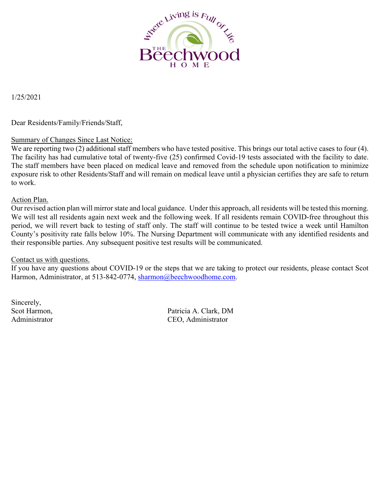

1/25/2021

Dear Residents/Family/Friends/Staff,

#### Summary of Changes Since Last Notice:

We are reporting two (2) additional staff members who have tested positive. This brings our total active cases to four (4). The facility has had cumulative total of twenty-five (25) confirmed Covid-19 tests associated with the facility to date. The staff members have been placed on medical leave and removed from the schedule upon notification to minimize exposure risk to other Residents/Staff and will remain on medical leave until a physician certifies they are safe to return to work.

#### Action Plan.

Our revised action plan will mirror state and local guidance. Under this approach, all residents will be tested this morning. We will test all residents again next week and the following week. If all residents remain COVID-free throughout this period, we will revert back to testing of staff only. The staff will continue to be tested twice a week until Hamilton County's positivity rate falls below 10%. The Nursing Department will communicate with any identified residents and their responsible parties. Any subsequent positive test results will be communicated.

#### Contact us with questions.

If you have any questions about COVID-19 or the steps that we are taking to protect our residents, please contact Scot Harmon, Administrator, at 513-842-0774, sharmon@beechwoodhome.com.

Sincerely,

Scot Harmon, Patricia A. Clark, DM Administrator CEO, Administrator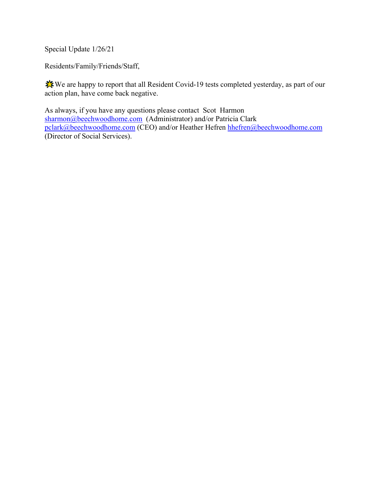Special Update 1/26/21

Residents/Family/Friends/Staff,

༕༖༗We are happy to report that all Resident Covid-19 tests completed yesterday, as part of our action plan, have come back negative.

As always, if you have any questions please contact Scot Harmon sharmon@beechwoodhome.com (Administrator) and/or Patricia Clark pclark@beechwoodhome.com (CEO) and/or Heather Hefren hhefren@beechwoodhome.com (Director of Social Services).